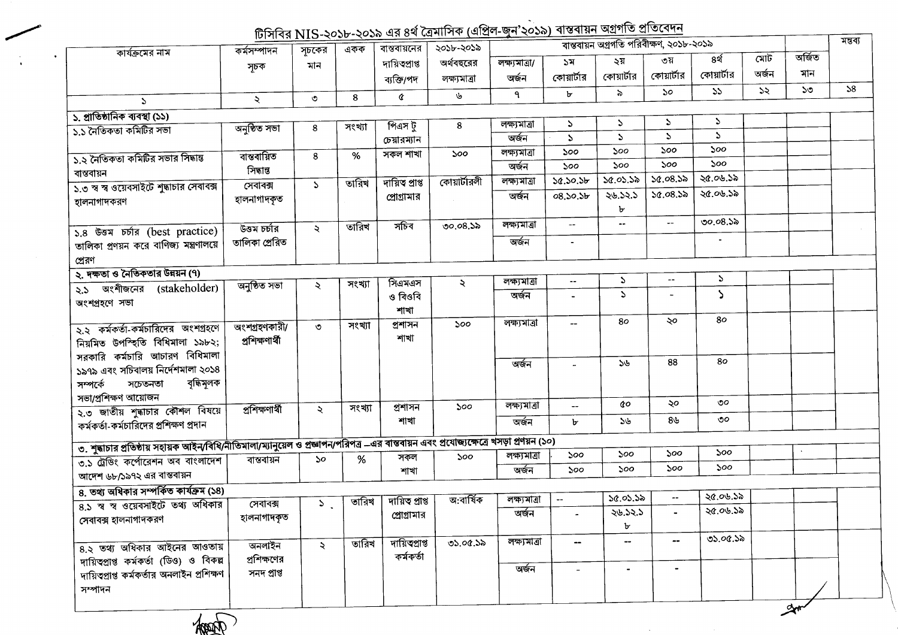## াট্সিবির NIS-১০১৮-১০১৯ এর ৪র্থ ত্রৈমাসিক (এপ্রিল-জন'২০১৯) বাস্তবায়<u>ন অগ্রগতি প্রতিবেদন</u>

| কার্যক্রমের নাম                                                                                                                         | কৰ্মসম্পাদন    | সূচকের                      | একক    | বান্তবায়নের    | $101418113 - 3036 - 3036$ as on tanking that $\frac{1}{2}$<br>২০১৮-২০১৯ |                       |                | বান্তবায়ন অগ্রগতি পরিবীক্ষণ, ২০১৮-২০১৯ |                          |                   |               |              |    |  |
|-----------------------------------------------------------------------------------------------------------------------------------------|----------------|-----------------------------|--------|-----------------|-------------------------------------------------------------------------|-----------------------|----------------|-----------------------------------------|--------------------------|-------------------|---------------|--------------|----|--|
|                                                                                                                                         |                | মান                         |        | দায়িত্বপ্ৰাপ্ত | অৰ্থবছরের                                                               | লক্ষ্যমাত্ৰা/         | ১ম             | ২য়                                     | ৩য়                      | ৪র্থ              | মোট           | অৰ্জিত       |    |  |
|                                                                                                                                         | সূচক           |                             |        | ব্যক্তি/পদ      | লক্ষ্যমাত্ৰা                                                            | অৰ্জন                 | কোয়ার্টার     | কোয়ার্টার                              | কোয়ার্টার               | কোয়ার্টার        | অৰ্জন         | মান          |    |  |
|                                                                                                                                         |                |                             |        |                 | ৬                                                                       | ٩                     | ৮              | ৯                                       | $50^{\circ}$             | 55                | $\mathcal{Z}$ | $50^{\circ}$ | 58 |  |
| $\mathcal{L}$                                                                                                                           | ₹              | $\circ$                     | 8      | ¢               |                                                                         |                       |                |                                         |                          |                   |               |              |    |  |
| ১. প্রাতিষ্ঠানিক ব্যবস্থা (১১)                                                                                                          |                |                             |        |                 |                                                                         | লক্ষ্যমাত্ৰা          | $\mathcal{L}$  | S                                       | $\mathcal{L}$            | $\mathcal{L}$     |               |              |    |  |
| ১.১ নৈতিকতা কমিটির সভা                                                                                                                  | অনুষ্ঠিত সভা   | 8                           | সংখ্যা | পিএস টু         | 8                                                                       | অৰ্জন                 | $\Delta$       | $\mathbf{A}$                            | $\mathcal{L}$            | $\Delta$          |               |              |    |  |
|                                                                                                                                         |                |                             |        | চেয়ারম্যান     |                                                                         |                       |                | ১০০                                     | ১০০                      | ১০০               |               |              |    |  |
| ১.২ নৈতিকতা কমিটির সভার সিদ্ধান্ত                                                                                                       | বান্তবায়িত    | 8                           | %      | সকল শাখা        | ১০০                                                                     | লক্ষ্যমাত্ৰা          | ১০০            | 500                                     | 500                      | ১০০               |               |              |    |  |
| বাস্তবায়ন                                                                                                                              | সিদ্ধান্ত      |                             |        |                 |                                                                         | অৰ্জন                 | ১০০            |                                         | 50.08.55                 | ২৫.০৬.১৯          |               |              |    |  |
| ১.৩ স্ব স্ব ওয়েবসাইটে শুদ্ধাচার সেবাবক্স                                                                                               | সেবাৰক্স       | $\mathcal{L}$               | তারিখ  | দায়িত প্ৰাপ্ত  | কোয়ার্টারলী                                                            | লক্ষ্যমাত্ৰা          | 30.50.56       | 50.05.58                                |                          |                   |               |              |    |  |
| হালনাগাদকরণ                                                                                                                             | হালনাগাদকৃত    |                             |        | প্রোগ্রামার     |                                                                         | অৰ্জন                 | 08.50.5b       | ২৬.১২.১<br>৮                            | 50.08.55                 | ২৫.০৬.১৯          |               |              |    |  |
|                                                                                                                                         | উত্তম চৰ্চার   | $\ddot{\mathcal{L}}$        | তারিখ  | সচিব            | 00.08.35                                                                | লক্ষ্যমাত্ৰা          | $\mathbf{u}$   | --                                      | $\qquad \qquad -$        | ৩০.০৪.১৯          |               |              |    |  |
| ১.৪ উত্তম চৰ্চার (best practice)<br>তালিকা প্রণয়ন করে বাণিজ্য মন্ত্রণালয়ে                                                             | তালিকা প্ৰেরিত |                             |        |                 |                                                                         | অৰ্জন                 | $\blacksquare$ |                                         |                          |                   |               |              |    |  |
| প্রেরণ                                                                                                                                  |                |                             |        |                 |                                                                         |                       |                |                                         |                          |                   |               |              |    |  |
| ২. দক্ষতা ও নৈতিকতার উন্নয়ন (৭)                                                                                                        |                |                             |        |                 |                                                                         |                       |                |                                         | $\overline{\phantom{a}}$ | $\mathcal{L}$     |               |              |    |  |
| २.১ অংশীজনের (stakeholder)                                                                                                              | অনুষ্ঠিত সভা   | ₹                           | সংখ্যা | সিএমএস          | $\lambda$                                                               | লক্ষ্যমাত্ৰা          | $\sim$         | $\mathcal{L}$                           |                          |                   |               |              |    |  |
| অংশগ্ৰহণে সভা                                                                                                                           |                |                             |        | ও বিওবি<br>শাখা |                                                                         | অৰ্জন                 |                | $\Delta$                                |                          | $\mathbf{\Delta}$ |               |              |    |  |
| ২.২ কর্মকর্তা-কর্মচারিদের অংশগ্রহণে                                                                                                     | অংশগ্ৰহণকারী/  | ৩                           | সংখ্যা | প্ৰশাসন         | ১০০                                                                     | লক্ষ্যমাত্ৰা          |                | 80                                      | ২০                       | 80                |               |              |    |  |
| নিয়মিত উপস্হিতি বিধিমালা ১৯৮২;                                                                                                         | প্ৰশিক্ষণাৰ্থী |                             |        | শাখা            |                                                                         |                       |                |                                         |                          |                   |               |              |    |  |
| সরকারি কর্মচারি আচারণ বিধিমালা                                                                                                          |                |                             |        |                 |                                                                         | অৰ্জন                 |                | ১৬                                      | 88                       | 80                |               |              |    |  |
| ১৯৭৯ এবং সচিবালয় নির্দেশমালা ২০১৪                                                                                                      |                |                             |        |                 |                                                                         |                       |                |                                         |                          |                   |               |              |    |  |
| বৃদ্ধিমূলক<br>সম্পৰ্কে<br>সচেতনতা                                                                                                       |                |                             |        |                 |                                                                         |                       |                |                                         |                          |                   |               |              |    |  |
| সভা/প্ৰশিক্ষণ আয়োজন                                                                                                                    |                |                             | সংখ্যা | প্ৰশাসন         | ১০০                                                                     | লক্ষ্যমাত্ৰা          | --             | άo                                      | ২০                       | $\circ$           |               |              |    |  |
| ২.৩ জাতীয় শুদ্ধাচার কৌশল বিষয়ে<br>কর্মকর্তা-কর্মচারিদের প্রশিক্ষণ প্রদান                                                              | প্ৰশিক্ষণাৰ্থী | $\tilde{\mathcal{L}}$       |        | শাখা            |                                                                         | অৰ্জন                 | Ъ              | ১৬                                      | ৪৬                       | ৩০                |               |              |    |  |
|                                                                                                                                         |                |                             |        |                 |                                                                         |                       |                |                                         |                          |                   |               |              |    |  |
| ৩. শুদ্ধাচার প্রতিষ্ঠায় সহায়ক আইন/বিধি/নীতিমালা/ম্যানুয়েল ও প্রজ্ঞাপন/পরিপত্র —এর বান্তবায়ন এবং প্রযোজ্যক্ষেত্রে খসড়া প্রণয়ন (১০) |                |                             |        | সকল             | 500                                                                     | লক্ষ্যমাত্ৰা          | 500            | ১০০                                     | ১০০                      | ১০০               |               |              |    |  |
| ৩.১ ট্রেডিং কর্পোরেশন অব বাংলাদেশ                                                                                                       | বাস্তবায়ন     | 50                          | %      | শাখা            |                                                                         | অৰ্জন                 | 500            | ১০০                                     | ১০০                      | ১০০               |               |              |    |  |
| আদেশ ৬৮/১৯৭২ এর বাস্তবায়ন                                                                                                              |                |                             |        |                 |                                                                         |                       |                |                                         |                          |                   |               |              |    |  |
| ৪. তথ্য অধিকার সম্পর্কিত কার্যক্রম (১৪)                                                                                                 |                |                             |        |                 |                                                                         |                       |                | ১৫.০১.১৯                                | $\overline{\phantom{a}}$ | ২৫.০৬.১৯          |               |              |    |  |
| 8.১ স্ব স্ব ওয়েবসাইটে তথ্য অধিকার                                                                                                      | সেবাবক্স       | $\mathcal{L}_{\mathcal{L}}$ | তারিখ  | দায়িত প্ৰাপ্ত  | অ:বাৰ্ষিক                                                               | লক্ষ্যমাত্ৰা<br>অৰ্জন | $\sim$ $-$     | 26.52.5                                 |                          | ২৫.০৬.১৯          |               |              |    |  |
| সেবাবক্স হালনাগাদকরণ                                                                                                                    | হালনাগাদকৃত    |                             |        | প্রোগ্রামার     |                                                                         |                       |                | ৮                                       |                          |                   |               |              |    |  |
| 8.২ তথ্য অধিকার আইনের আওতায়                                                                                                            | অনলাইন         | ২                           | তারিখ  | দায়িত্বপ্রাপ্ত | 05.00.55                                                                | লক্ষ্যমাত্ৰা          | $\blacksquare$ | --                                      | -−                       | ৩১.০৫.১৯          |               |              |    |  |
| দায়িত্বপ্রাপ্ত কর্মকর্তা (ডিও) ও বিকল্প                                                                                                | প্রশিক্ষণের    |                             |        | কৰ্মকৰ্তা       |                                                                         |                       |                |                                         |                          |                   |               |              |    |  |
| দায়িত্বপ্রাপ্ত কর্মকর্তার অনলাইন প্রশিক্ষণ                                                                                             | সনদ প্ৰাপ্ত    |                             |        |                 |                                                                         | অৰ্জন                 |                | $\blacksquare$                          | $\blacksquare$           |                   |               |              |    |  |
| সম্পাদন                                                                                                                                 |                |                             |        |                 |                                                                         |                       |                |                                         |                          |                   |               |              |    |  |
|                                                                                                                                         |                |                             |        |                 |                                                                         |                       |                |                                         |                          |                   |               | y∾           |    |  |

 $\sim 100$ 

 $\sim 10$ 

Hoop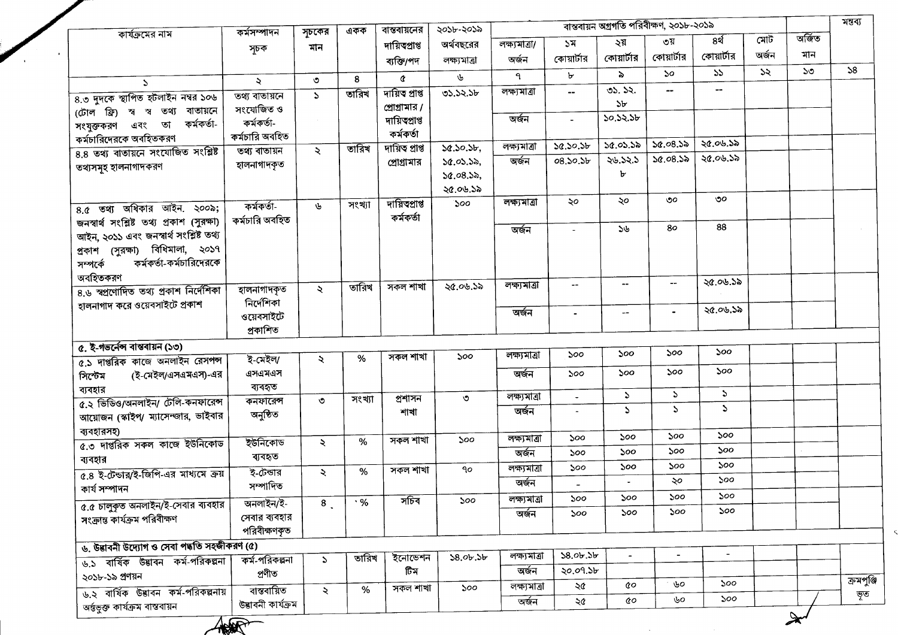|                                                            | কৰ্মসম্পাদন              | সূচকের              | একক       | বান্তবায়নের               | ২০১৮-২০১৯    |               |                          |                          | বান্তবায়ন অগ্রগতি পরিবীক্ষণ, ২০১৮-২০১৯ |                |               |        | মন্তব্য    |
|------------------------------------------------------------|--------------------------|---------------------|-----------|----------------------------|--------------|---------------|--------------------------|--------------------------|-----------------------------------------|----------------|---------------|--------|------------|
| কার্যক্রমের নাম                                            | সূচক                     | মান                 |           | দায়িত্থাপ্ত               | অর্থবছরের    | লক্ষ্যমাত্ৰা/ | ১ম                       | ২য়                      | ৩য়                                     | ৪র্থ           | মোট           | অৰ্জিত |            |
|                                                            |                          |                     |           | ব্যক্তি/পদ                 | লক্ষ্যমাত্ৰা | অৰ্জন         | কোয়ার্টার               | কোয়ার্টার               | কোয়ার্টার                              | কোয়ার্টার     | অৰ্জন         | মান    |            |
| $\mathcal{L}$                                              | $\ddot{\mathcal{L}}$     | $\circ$             | 8         | $\alpha$                   | ৬            | ٩             | ъ                        | $\lambda$                | ১০                                      | 55             | $\mathcal{Z}$ | ১৩     | 58         |
| 8.৩ দুদকে স্থাপিত হটলাইন নম্বর ১০৬                         | তথ্য বাতায়নে            | $\mathcal{L}$       | তারিখ     | দায়িত প্ৰাপ্ত             | 05.52.56     | লক্ষ্যমাত্ৰা  | --                       | ৩১. ১২.                  | $\overline{\phantom{a}}$                | $\frac{1}{2}$  |               |        |            |
| (টোল ফ্রি) স্ব স্ব তথ্য বাতায়নে                           | সংযোজিত ও                |                     |           | প্রোগ্রামার /              |              |               |                          | ১৮                       |                                         |                |               |        |            |
| কৰ্মকৰ্তা-<br>সংযুক্তকরণ এবং তা                            | কৰ্মকৰ্তা-               |                     |           | দায়িত্থাপ্ত               |              | অৰ্জন         | $\overline{a}$           | ১০.১২.১৮                 |                                         |                |               |        |            |
| কর্মচারিদেরকে অবহিতকরণ                                     | কৰ্মচারি অবহিত           |                     |           | কৰ্মকৰ্তা                  |              |               |                          |                          |                                         | ২৫.০৬.১৯       |               |        |            |
| ৪.৪ তথ্য বাতায়নে সংযোজিত সংশ্লিষ্ট                        | তথ্য বাতায়ন             | ২                   | তারিখ     | দায়িত প্ৰাপ্ত             | 50.50.56     | লক্ষ্যমাত্ৰা  | 30.50.5b                 | ১৫.০১.১৯                 | 50.08.55<br>50.08.55                    | ২৫.০৬.১৯       |               |        |            |
| তথ্যসমূহ হালনাগাদকরণ                                       | হালনাগাদকৃত              |                     |           | প্রোগ্রামার                | 50.05.56,    | অৰ্জন         | 08.50.56                 | ২৬.১২.১                  |                                         |                |               |        |            |
|                                                            |                          |                     |           |                            | 50.08.55,    |               |                          | Ъ                        |                                         |                |               |        |            |
|                                                            |                          |                     |           |                            | ২৫.০৬.১৯     | লক্ষ্যমাত্ৰা  | ২০                       | ২০                       | ৩০                                      | ৩০             |               |        |            |
| $8.6$ তথ্য অধিকার আইন. ২০০৯;                               | কৰ্মকৰ্তা-               | ৬                   | সংখ্যা    | দায়িতপ্ৰাপ্ত<br>কৰ্মকৰ্তা | ১০০          |               |                          |                          |                                         |                |               |        |            |
| জনস্বার্থ সংশ্লিষ্ট তথ্য প্রকাশ (সুরক্ষা)                  | কৰ্মচারি অবহিত           |                     |           |                            |              | অৰ্জন         |                          | 56                       | 80                                      | 88             |               |        |            |
| আইন, ২০১১ এবং জনস্বার্থ সংশ্লিষ্ট তথ্য                     |                          |                     |           |                            |              |               |                          |                          |                                         |                |               |        |            |
| প্রকাশ (সুরক্ষা) বিধিমালা, ২০১৭<br>কর্মকর্তা-কর্মচারিদেরকে |                          |                     |           |                            |              |               |                          |                          |                                         |                |               |        |            |
| সম্পৰ্কে<br>অবহিতকরণ                                       |                          |                     |           |                            |              |               |                          |                          |                                         |                |               |        |            |
| ৪.৬ স্বপ্রণোদিত তথ্য প্রকাশ নির্দেশিকা                     | হালনাগাদকৃত              | $\ddot{\sim}$       | তারিখ     | সকল শাখা                   | ২৫.০৬.১৯     | লক্ষ্যমাত্ৰা  | $\overline{\phantom{m}}$ | $\overline{\phantom{a}}$ | $\overline{\phantom{a}}$                | ২৫.০৬.১৯       |               |        |            |
| হালনাগাদ করে ওয়েবসাইটে প্রকাশ                             | নিৰ্দেশিকা               |                     |           |                            |              |               |                          |                          |                                         |                |               |        |            |
|                                                            | ওয়েবসাইটে               |                     |           |                            |              | অৰ্জন         |                          | $- -$                    |                                         | ২৫.০৬.১৯       |               |        |            |
|                                                            | প্ৰকাশিত                 |                     |           |                            |              |               |                          |                          |                                         |                |               |        |            |
| ৫. ই-গভর্নেন্স বাস্তবায়ন (১৩)                             |                          |                     |           |                            |              |               |                          | ১০০                      | ১০০                                     | ১০০            |               |        |            |
| ৫.১ দাপ্তরিক কাজে অনলাইন রেসপন্স                           | ই-মেইল/                  | $\ddot{\mathbf{z}}$ | %         | সকল শাখা                   | ১০০          | লক্ষ্যমাত্ৰা  | 500                      |                          |                                         |                |               |        |            |
| (ই-মেইল/এসএমএস)-এর<br>সিস্টেম                              | এসএমএস                   |                     |           |                            |              | অৰ্জন         | ১০০                      | ১০০                      | ১০০                                     | ১০০            |               |        |            |
| ব্যবহার                                                    | ব্যবহৃত                  |                     |           | প্ৰশাসন                    | $\circ$      | লক্ষ্যমাত্ৰা  | $\bullet$                | $\mathcal{L}$            | $\mathcal{L}$                           | $\mathcal{L}$  |               |        |            |
| ৫.২ ভিডিও/অনলাইন/ টেলি-কনফারেন্স                           | কনফারেন্স                | $\circ$             | সংখ্যা    | শাখা                       |              | অৰ্জন         | $\sim$                   | $\mathbf{r}$             | $\mathcal{L}$                           | $\Delta$       |               |        |            |
| আয়োজন (স্কাইপ/ ম্যাসেন্জার, ভাইবার                        | অনুষ্ঠিত                 |                     |           |                            |              |               |                          |                          |                                         |                |               |        |            |
| ব্যবহারসহ)                                                 | ইউনিকোড                  | $\lambda$           | %         | সকল শাখা                   | ১০০          | লক্ষ্যমাত্ৰা  | 500                      | ১০০                      | ১০০                                     | ১০০            |               |        |            |
| ৫.৩ দাপ্তরিক সকল কাজে ইউনিকোড                              | ব্যবহৃত                  |                     |           |                            |              | অৰ্জন         | 500                      | ১০০                      | ১০০                                     | ১০০            |               |        |            |
| ব্যবহার                                                    | ই-টেন্ডার                | $\ddot{\sim}$       | %         | সকল শাখা                   | $90^{\circ}$ | লক্ষ্যমাত্ৰা  | ১০০                      | ১০০                      | ১০০                                     | ১০০            |               |        |            |
| ৫.৪ ই-টেন্ডার/ই-জিপি-এর মাধ্যমে ক্রয়<br>কাৰ্য সম্পাদন     | সম্পাদিত                 |                     |           |                            |              | অৰ্জন         |                          |                          | ২০                                      | ১০০            |               |        |            |
|                                                            | অনলাইন/ই-                | $\overline{8}$ .    | $\cdot$ % | সচিব                       | ১০০          | লক্ষ্যমাত্ৰা  | ১০০                      | ১০০                      | ১০০                                     | 500            |               |        |            |
| $a.a$ চালুকৃত অনলাইন/ই-সেবার ব্যবহার                       | সেবার ব্যবহার            |                     |           |                            |              | অৰ্জন         | 500                      | ১০০                      | ১০০                                     | ১০০            |               |        |            |
| সংক্রান্ত কার্যক্রম পরিবীক্ষণ                              | পরিবীক্ষণকৃত             |                     |           |                            |              |               |                          |                          |                                         |                |               |        |            |
| ৬. উদ্ভাবনী উদ্যোগ ও সেবা পদ্ধতি সহজীকরণ (৫)               |                          |                     |           |                            |              |               |                          |                          |                                         |                |               |        |            |
| ৬.১ বাৰ্ষিক উদ্ভাবন কৰ্ম-পরিকল্পনা                         | কর্ম-পরিকল্পনা           | $\mathcal{L}$       | তারিখ     | ইনোভেশন                    | 38.0 b.5 b   | লক্ষ্যমাত্ৰা  | 58.0 b.5 b               |                          |                                         | $\blacksquare$ |               |        |            |
| ২০১৮-১৯ প্রণয়ন                                            | প্ৰণীত                   |                     |           | টিম                        |              | অৰ্জন         | ২০.০৭.১৮                 |                          |                                         |                |               |        |            |
| ৬.২ বাৰ্ষিক উদ্ভাবন কৰ্ম-পরিকল্পনায়                       | ৰান্তৰায়িত              | $\ddot{\mathbf{z}}$ | %         | সকল শাখা                   | ১০০          | লক্ষ্যমাত্ৰা  | ২৫                       | QО                       | ৬০                                      | 500            |               |        | ক্ৰমপুঞ্জি |
| অৰ্ন্তভুক্ত কাৰ্যক্ৰম বান্তবায়ন                           | উদ্ভাবনী কাৰ্যক্ৰম       |                     |           |                            |              | অৰ্জন         | ২৫                       | QО                       | ৬০                                      | 500            |               |        | ভূত        |
|                                                            | $\pi$ $\curvearrowright$ |                     |           |                            |              |               |                          |                          |                                         |                |               |        |            |

**ANOR**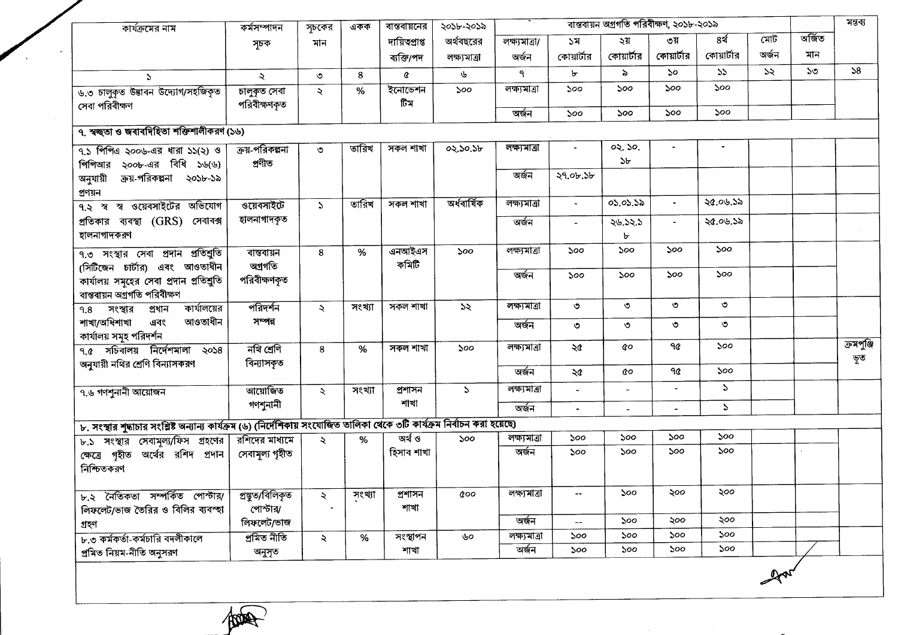| কার্যক্রমের নাম                                                                                                            | কৰ্মসম্পাদন                  | সূচকের        | একক    | ৰান্তৰায়নের   | ২০১৮-২০১৯<br>অর্থবছরের | বাস্তবায়ন অগ্রগতি পরিবীক্ষণ, ২০১৮-২০১৯ |                          |                          |                          |               |       |        | মন্তব্য    |
|----------------------------------------------------------------------------------------------------------------------------|------------------------------|---------------|--------|----------------|------------------------|-----------------------------------------|--------------------------|--------------------------|--------------------------|---------------|-------|--------|------------|
|                                                                                                                            | সূচক                         | মান           |        | দায়িত্প্ৰাপ্ত |                        | লক্ষ্যমাত্ৰা/                           | ১ম                       | ২য়                      | ৩য়                      | ৪র্থ          | মোট   | অৰ্জিত |            |
|                                                                                                                            |                              |               |        | ব্যক্তি/পদ     | লক্ষ্যমাত্ৰা           | অৰ্জন                                   | কোয়ার্টার               | কোয়ার্টার               | কোয়ার্টার               | কোয়ার্টার    | অৰ্জন | মান    |            |
| $\mathcal{L}$                                                                                                              | $\ddot{\mathbf{z}}$          | $\circ$       | 8      | ¢              | ৬                      | ٩                                       | Ъ                        | $\delta$                 | 50                       | 55            | 55    | ১৩     | 58         |
| ৬.৩ চালুকৃত উদ্ভাবন উদ্যোগ/সহজিকৃত<br>সেবা পরিবীক্ষণ                                                                       | চালুকৃত সেবা<br>পরিবীক্ষণকৃত | $\prec$       | %      | ইনোভেশন<br>টিম | 500                    | লক্ষ্যমাত্ৰা                            | 500                      | 500                      | 500                      | 500           |       |        |            |
|                                                                                                                            |                              |               |        |                |                        | অৰ্জন                                   | 500                      | ১০০                      | 500                      | 500           |       |        |            |
| ৭. স্বচ্ছতা ও জবাবদিহিতা শক্তিশালীকরণ (১৬)                                                                                 |                              |               |        |                |                        |                                         |                          |                          |                          |               |       |        |            |
| $9.5$ পিপিএ ২০০৬-এর ধারা ১১(২) ও                                                                                           | ক্রয়-পরিকল্পনা              | ৩             | তারিখ  | সকল শাখা       | 02.50.56               | লক্ষ্যমাত্ৰা                            | $\bullet$                | 02.50.                   |                          |               |       |        |            |
| পিপিআর ২০০৮-এর বিধি ১৬(৬)                                                                                                  | প্ৰণীত                       |               |        |                |                        |                                         |                          | 5 <sub>b</sub>           |                          |               |       |        |            |
| অনুযায়ী ক্রয়-পরিকল্পনা ২০১৮-১৯                                                                                           |                              |               |        |                |                        | অৰ্জন                                   | ২৭.০৮.১৮                 |                          |                          |               |       |        |            |
| প্ৰণয়ন                                                                                                                    |                              |               |        |                |                        |                                         |                          |                          |                          |               |       |        |            |
| ৭.২ স্ব স্ব ওয়েবসাইটের অভিযোগ                                                                                             | ওয়েবসাইটে                   | $\sum$        | তারিখ  | সকল শাখা       | অৰ্ধবাৰ্ষিক            | লক্ষ্যমাত্ৰা                            | $\blacksquare$           | 05.05.55                 | $\blacksquare$           | ২৫.০৬.১৯      |       |        |            |
| প্রতিকার ব্যবস্থা (GRS) সেবাবক্স                                                                                           | হালনাগাদকৃত                  |               |        |                |                        | অৰ্জন                                   | $\overline{\phantom{a}}$ | ২৬.১২.১                  | $\blacksquare$           | ২৫.০৬.১৯      |       |        |            |
| হালনাগাদকরণ                                                                                                                |                              |               |        |                |                        |                                         |                          | ৮                        |                          |               |       |        |            |
| ৭.৩ সংস্থার সেবা প্রদান প্রতিশ্রুতি                                                                                        | বান্তবায়ন                   | 8             | %      | এনআইএস         | 500                    | লক্ষ্যমাত্ৰা                            | 500                      | 500                      | ১০০                      | ১০০           |       |        |            |
| (সিটিজেন চার্টার) এবং আওতাধীন                                                                                              | অগ্ৰগতি                      |               |        | কমিটি          |                        |                                         |                          |                          |                          |               |       |        |            |
| কার্যালয় সমূহের সেবা প্রদান প্রতিশ্রুতি                                                                                   | পরিবীক্ষণকৃত                 |               |        |                |                        | অৰ্জন                                   | 500                      | ১০০                      | ১০০                      | ১০০           |       |        |            |
| বাস্তবায়ন অগ্রগতি পরিবীক্ষণ                                                                                               |                              |               |        |                |                        |                                         |                          |                          |                          |               |       |        |            |
| কার্যালয়ের<br>$9.8$ সংস্থার প্রধান                                                                                        | পরিদর্শন                     | $\lambda$     | সংখ্যা | সকল শাখা       | $\infty$               | লক্ষ্যমাত্ৰা                            | $\circ$                  | $\circ$                  | $\circ$                  | $\circ$       |       |        |            |
| শাখা/অধিশাখা<br>আওতাধীন<br>এবং                                                                                             | সম্পন্ন                      |               |        |                |                        | অৰ্জন                                   | $\circ$                  | $\circ$                  | $\circ$                  | ৩             |       |        |            |
| কার্যালয় সমূহ পরিদর্শন                                                                                                    |                              |               |        |                |                        |                                         |                          |                          |                          |               |       |        |            |
| ৭.৫ সচিবালয় নির্দেশমালা ২০১৪                                                                                              | নথি শ্ৰেণি                   | 8             | %      | সকল শাখা       | ১০০                    | লক্ষ্যমাত্ৰা                            | ২৫                       | <b>c</b> o               | ۹৫                       | 500           |       |        | ক্ৰমপুঞ্জি |
| অনুযায়ী নথির শ্রেণি বিন্যাসকরণ                                                                                            | বিন্যাসকৃত                   |               |        |                |                        | অৰ্জন                                   |                          | QО                       | $90^{\circ}$             | 500           |       |        | ভূত        |
|                                                                                                                            |                              |               |        |                |                        |                                         | ২৫                       |                          |                          |               |       |        |            |
| ৭.৬ গণশুনানী আয়োজন                                                                                                        | আয়োজিত                      | $\mathcal{L}$ | সংখ্যা | প্ৰশাসন        | $\mathcal{L}$          | লক্ষ্যমাত্ৰা                            | $\blacksquare$           | $\overline{\phantom{a}}$ |                          | $\mathcal{L}$ |       |        |            |
|                                                                                                                            | গণশুনানী                     |               |        | শাখা           |                        | অৰ্জন                                   | $\blacksquare$           | $\blacksquare$           | $\overline{\phantom{a}}$ | $\mathcal{L}$ |       |        |            |
| ৮. সংস্থার শুদ্ধাচার সংশ্লিষ্ট অন্যান্য কার্যক্রম (৬) (নির্দেশিকায় সংযোজিত তালিকা থেকে ৩টি কার্যক্রম নির্বাচন করা হয়েছে) |                              |               |        |                |                        |                                         |                          |                          |                          |               |       |        |            |
| ৮.১ সংস্থার সেবামূল্য/ফিস গ্রহণের                                                                                          | রশিদের মাধ্যমে               | $\leq$        | %      | जर्थ ও         | 500                    | লক্ষ্যমাত্ৰা                            | 500                      | ১০০                      | 500                      | 500           |       |        |            |
| ক্ষেত্রে গৃহীত অর্থের রশিদ প্রদান <br>নিশ্চিতকরণ                                                                           | সেবামূল্য গৃহীত              |               |        | হিসাব শাখা     |                        | অৰ্জন                                   | 500                      | 500                      | 500                      | ১০০           |       |        |            |
| ৮.২ নৈতিকতা সম্পৰ্কিত পোস্টার/ প্রন্তুত/বিলিকৃত                                                                            |                              | $\sim$        | जश्था  | প্ৰশাসন        | $\alpha$ oo            | লক্ষ্যমাত্ৰা                            | $\overline{\phantom{a}}$ | 500                      | ২০০                      | ২০০           |       |        |            |
| লিফলেট/ভাজ তৈরির ও বিলির ব্যবস্হা                                                                                          | পোস্টার/                     |               |        | শাখা           |                        | অৰ্জন                                   |                          | ১০০                      | ২০০                      | ২০০           |       |        |            |
| গ্ৰহণ                                                                                                                      | লিফলেট/ভাজ                   |               |        |                |                        |                                         |                          |                          | ১০০                      | 500           |       |        |            |
| ৮.৩ কর্মকর্তা-কর্মচারি বদলীকালে                                                                                            | প্ৰমিত নীতি                  | ₹             | %      | সংস্থাপন       | ৬০                     | লক্ষ্যমাত্ৰা<br>অৰ্জন                   | ১০০                      | ১০০<br>১০০               | 500                      | ১০০           |       |        |            |
| প্ৰমিত নিয়ম-নীতি অনুসরণ                                                                                                   | অনুসৃত                       |               |        | শাখা           |                        |                                         | ১০০                      |                          |                          |               |       |        |            |
|                                                                                                                            |                              |               |        |                |                        |                                         |                          |                          |                          |               |       |        |            |

 $\sim 10^{-1}$